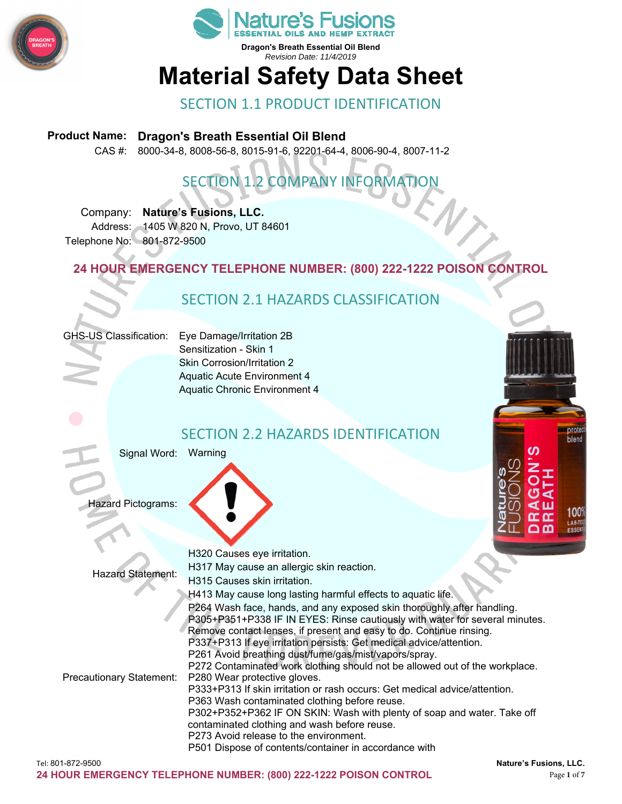



# **Material Safety Data Sheet**

#### SECTION 1.1 PRODUCT IDENTIFICATION

#### **Product Name: Dragon's Breath Essential Oil Blend**

CAS #: 8000-34-8, 8008-56-8, 8015-91-6, 92201-64-4, 8006-90-4, 8007-11-2

## SECTION 1.2 COMPANY INFORMATION

Company: **Nature's Fusions, LLC.**  Address: 1405 W 820 N, Provo, UT 84601 Telephone No: 801-872-9500

**24 HOUR EMERGENCY TELEPHONE NUMBER: (800) 222-1222 POISON CONTROL** 

#### SECTION 2.1 HAZARDS CLASSIFICATION

GHS-US Classification: Eye Damage/Irritation 2B

Sensitization - Skin 1 Skin Corrosion/Irritation 2 Aquatic Acute Environment 4 Aquatic Chronic Environment 4



#### SECTION 2.2 HAZARDS IDENTIFICATION

Signal Word: Warning

Hazard Pictograms:

| <b>Hazard Statement:</b> | H320 Causes eye irritation.                                                 |
|--------------------------|-----------------------------------------------------------------------------|
|                          | H317 May cause an allergic skin reaction.                                   |
|                          | H315 Causes skin irritation.                                                |
|                          | H413 May cause long lasting harmful effects to aquatic life.                |
| Precautionary Statement: | P264 Wash face, hands, and any exposed skin thoroughly after handling.      |
|                          | P305+P351+P338 IF IN EYES: Rinse cautiously with water for several minutes. |
|                          | Remove contact lenses, if present and easy to do. Continue rinsing.         |
|                          | P337+P313 If eye irritation persists: Get medical advice/attention.         |
|                          | P261 Avoid breathing dust/fume/gas/mist/vapors/spray.                       |
|                          | P272 Contaminated work clothing should not be allowed out of the workplace. |
|                          | P280 Wear protective gloves.                                                |
|                          | P333+P313 If skin irritation or rash occurs: Get medical advice/attention.  |
|                          | P363 Wash contaminated clothing before reuse.                               |
|                          | P302+P352+P362 IF ON SKIN: Wash with plenty of soap and water. Take off     |
|                          | contaminated clothing and wash before reuse.                                |
|                          | P273 Avoid release to the environment.                                      |
|                          | P501 Dispose of contents/container in accordance with                       |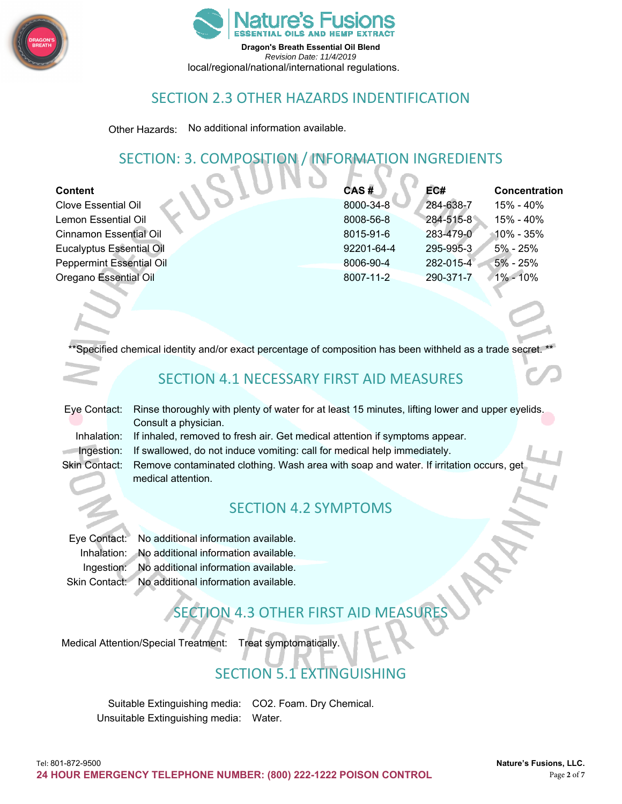



local/regional/national/international regulations.

#### SECTION 2.3 OTHER HAZARDS INDENTIFICATION

Other Hazards: No additional information available.

#### SECTION: 3. COMPOSITION / INFORMATION INGREDIENTS

| <b>Content</b>                  | CAS#       | EC#       | Concentration |
|---------------------------------|------------|-----------|---------------|
| <b>Clove Essential Oil</b>      | 8000-34-8  | 284-638-7 | 15% - 40%     |
| Lemon Essential Oil             | 8008-56-8  | 284-515-8 | 15% - 40%     |
| <b>Cinnamon Essential Oil</b>   | 8015-91-6  | 283-479-0 | $10\%$ - 35%  |
| <b>Eucalyptus Essential Oil</b> | 92201-64-4 | 295-995-3 | 5% - 25%      |
| <b>Peppermint Essential Oil</b> | 8006-90-4  | 282-015-4 | $5% - 25%$    |
| Oregano Essential Oil           | 8007-11-2  | 290-371-7 | $1\% - 10\%$  |
|                                 |            |           |               |

Specified chemical identity and/or exact percentage of composition has been withheld as a trade secret.

#### SECTION 4.1 NECESSARY FIRST AID MEASURES

Eye Contact: Rinse thoroughly with plenty of water for at least 15 minutes, lifting lower and upper eyelids. Consult a physician. Inhalation: If inhaled, removed to fresh air. Get medical attention if symptoms appear.

Ingestion: If swallowed, do not induce vomiting: call for medical help immediately.

Skin Contact: Remove contaminated clothing. Wash area with soap and water. If irritation occurs, get medical attention.

#### SECTION 4.2 SYMPTOMS

Eye Contact: No additional information available. Inhalation: No additional information available. Ingestion: No additional information available. Skin Contact: No additional information available.

## SECTION 4.3 OTHER FIRST AID MEASURE

Medical Attention/Special Treatment: Treat symptomatically.

## **SECTION 5.1 EXTINGUISHING**

Suitable Extinguishing media: CO2. Foam. Dry Chemical. Unsuitable Extinguishing media: Water.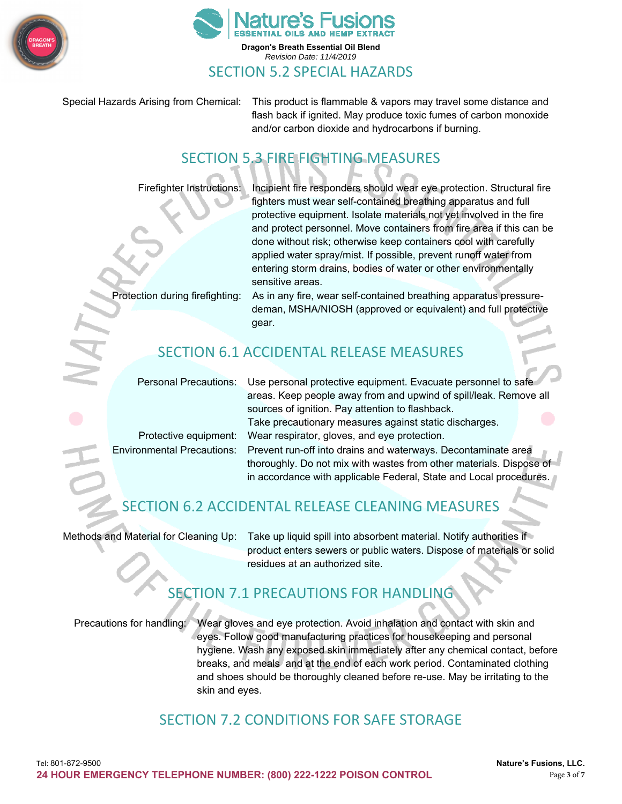



Special Hazards Arising from Chemical: This product is flammable & vapors may travel some distance and flash back if ignited. May produce toxic fumes of carbon monoxide and/or carbon dioxide and hydrocarbons if burning.

### SECTION 5.3 FIRE FIGHTING MEASURES

Firefighter Instructions: Incipient fire responders should wear eye protection. Structural fire fighters must wear self-contained breathing apparatus and full protective equipment. Isolate materials not yet involved in the fire and protect personnel. Move containers from fire area if this can be done without risk; otherwise keep containers cool with carefully applied water spray/mist. If possible, prevent runoff water from entering storm drains, bodies of water or other environmentally sensitive areas.

Protection during firefighting: As in any fire, wear self-contained breathing apparatus pressuredeman, MSHA/NIOSH (approved or equivalent) and full protective gear.

### SECTION 6.1 ACCIDENTAL RELEASE MEASURES

Personal Precautions: Use personal protective equipment. Evacuate personnel to safe

areas. Keep people away from and upwind of spill/leak. Remove all sources of ignition. Pay attention to flashback. Take precautionary measures against static discharges. Protective equipment: Wear respirator, gloves, and eye protection. Environmental Precautions: Prevent run-off into drains and waterways. Decontaminate area thoroughly. Do not mix with wastes from other materials. Dispose of in accordance with applicable Federal, State and Local procedures.

## SECTION 6.2 ACCIDENTAL RELEASE CLEANING MEASURES

Methods and Material for Cleaning Up: Take up liquid spill into absorbent material. Notify authorities if product enters sewers or public waters. Dispose of materials or solid residues at an authorized site.

## SECTION 7.1 PRECAUTIONS FOR HANDLING

Precautions for handling: Wear gloves and eye protection. Avoid inhalation and contact with skin and eyes. Follow good manufacturing practices for housekeeping and personal hygiene. Wash any exposed skin immediately after any chemical contact, before breaks, and meals and at the end of each work period. Contaminated clothing and shoes should be thoroughly cleaned before re-use. May be irritating to the skin and eyes.

#### SECTION 7.2 CONDITIONS FOR SAFE STORAGE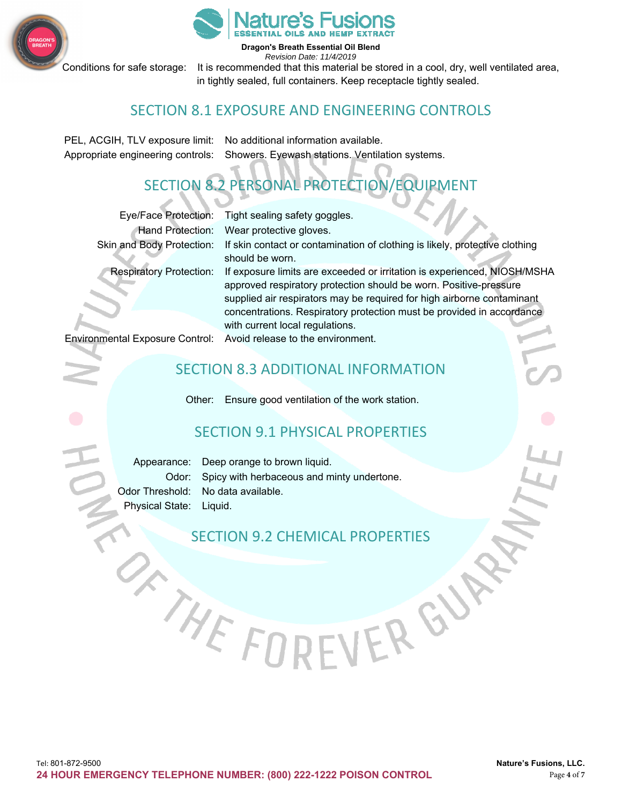



**Dragon's Breath Essential Oil Blend** 

*Revision Date: 11/4/2019*  Conditions for safe storage: It is recommended that this material be stored in a cool, dry, well ventilated area, in tightly sealed, full containers. Keep receptacle tightly sealed.

#### SECTION 8.1 EXPOSURE AND ENGINEERING CONTROLS

PEL, ACGIH, TLV exposure limit: No additional information available. Appropriate engineering controls: Showers. Eyewash stations. Ventilation systems.

## SECTION 8.2 PERSONAL PROTECTION/EQUIPMENT

|                                | Eye/Face Protection: Tight sealing safety goggles.                                                                                                                                                                                                                                                                                  |
|--------------------------------|-------------------------------------------------------------------------------------------------------------------------------------------------------------------------------------------------------------------------------------------------------------------------------------------------------------------------------------|
| <b>Hand Protection:</b>        | Wear protective gloves.                                                                                                                                                                                                                                                                                                             |
| Skin and Body Protection:      | If skin contact or contamination of clothing is likely, protective clothing<br>should be worn.                                                                                                                                                                                                                                      |
| <b>Respiratory Protection:</b> | If exposure limits are exceeded or irritation is experienced, NIOSH/MSHA<br>approved respiratory protection should be worn. Positive-pressure<br>supplied air respirators may be required for high airborne contaminant<br>concentrations. Respiratory protection must be provided in accordance<br>with current local regulations. |
|                                | Environmental Exposure Control: Avoid release to the environment.                                                                                                                                                                                                                                                                   |

#### SECTION 8.3 ADDITIONAL INFORMATION

Other: Ensure good ventilation of the work station.

#### SECTION 9.1 PHYSICAL PROPERTIES

Appearance: Deep orange to brown liquid. Odor: Spicy with herbaceous and minty undertone. Odor Threshold: No data available. Physical State: Liquid.

SECTION 9.2 CHEMICAL PROPERTIES

VERGN

WHE FO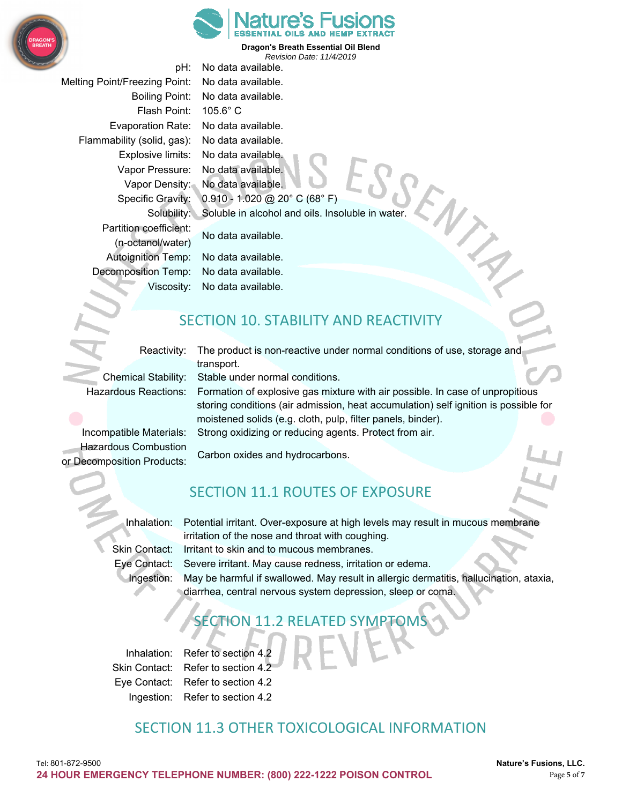



pH: No data available. Melting Point/Freezing Point: No data available. Boiling Point: No data available. Flash Point: 105.6° C Evaporation Rate: No data available. Flammability (solid, gas): No data available. Explosive limits: No data available. Vapor Pressure: No data available. Vapor Density: No data available. Specific Gravity: 0.910 - 1.020 @ 20° C (68° F) Solubility: Soluble in alcohol and oils. Insoluble in water. Partition coefficient: No data available. (n-octanol/water) Autoignition Temp: No data available. Decomposition Temp: No data available. Viscosity: No data available.

#### SECTION 10. STABILITY AND REACTIVITY

Reactivity: The product is non-reactive under normal conditions of use, storage and transport. Chemical Stability: Stable under normal conditions.

Hazardous Reactions: Formation of explosive gas mixture with air possible. In case of unpropitious storing conditions (air admission, heat accumulation) self ignition is possible for moistened solids (e.g. cloth, pulp, filter panels, binder). Incompatible Materials: Strong oxidizing or reducing agents. Protect from air.

Hazardous Combustion Carbon oxides and hydrocarbons. or Decomposition Products:

## SECTION 11.1 ROUTES OF EXPOSURE

Inhalation: Potential irritant. Over-exposure at high levels may result in mucous membrane irritation of the nose and throat with coughing.

Skin Contact: Irritant to skin and to mucous membranes.

Eye Contact: Severe irritant. May cause redness, irritation or edema.

Ingestion: May be harmful if swallowed. May result in allergic dermatitis, hallucination, ataxia, diarrhea, central nervous system depression, sleep or coma.

## SECTION 11.2 RELATED SYMPTON

Inhalation: Refer to section 4.2 Skin Contact: Refer to section 4.2 Eye Contact: Refer to section 4.2 Ingestion: Refer to section 4.2

#### SECTION 11.3 OTHER TOXICOLOGICAL INFORMATION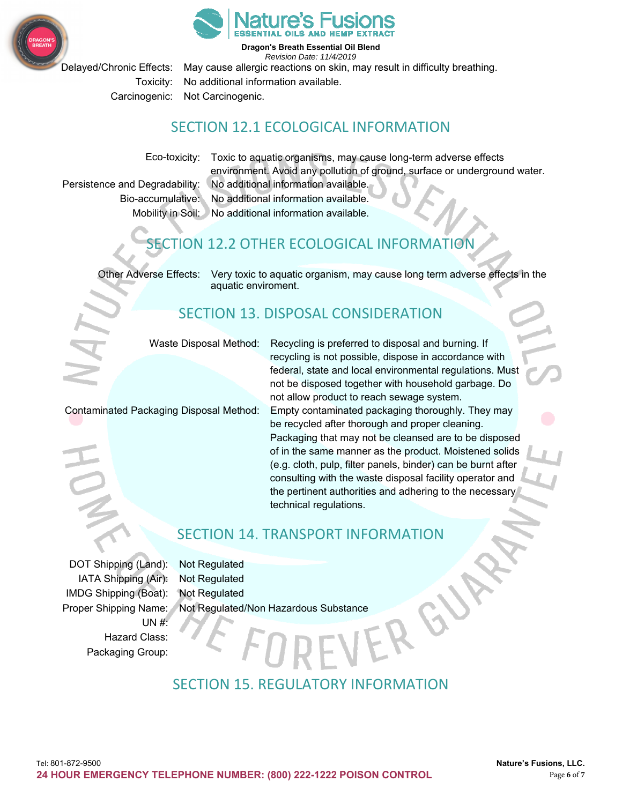



Delayed/Chronic Effects: May cause allergic reactions on skin, may result in difficulty breathing. Toxicity: No additional information available. Carcinogenic: Not Carcinogenic.

#### SECTION 12.1 ECOLOGICAL INFORMATION

Bio-accumulative: No additional information available.

Eco-toxicity: Toxic to aquatic organisms, may cause long-term adverse effects environment. Avoid any pollution of ground, surface or underground water. Persistence and Degradability: No additional information available.

Mobility in Soil: No additional information available.

## **SECTION 12.2 OTHER ECOLOGICAL INFORMATION**

Other Adverse Effects: Very toxic to aquatic organism, may cause long term adverse effects in the aquatic enviroment.

## SECTION 13. DISPOSAL CONSIDERATION

Waste Disposal Method: Recycling is preferred to disposal and burning. If

not be disposed together with household garbage. Do not allow product to reach sewage system. Contaminated Packaging Disposal Method: Empty contaminated packaging thoroughly. They may be recycled after thorough and proper cleaning. Packaging that may not be cleansed are to be disposed of in the same manner as the product. Moistened solids (e.g. cloth, pulp, filter panels, binder) can be burnt after consulting with the waste disposal facility operator and the pertinent authorities and adhering to the necessary technical regulations.

recycling is not possible, dispose in accordance with federal, state and local environmental regulations. Must

#### SECTION 14. TRANSPORT INFORMATION

DOT Shipping (Land): Not Regulated IATA Shipping (Air): Not Regulated IMDG Shipping (Boat): Not Regulated  $UN#$ Hazard Class: Packaging Group:

Proper Shipping Name: Not Regulated/Non Hazardous Substance

## SECTION 15. REGULATORY INFORMATION